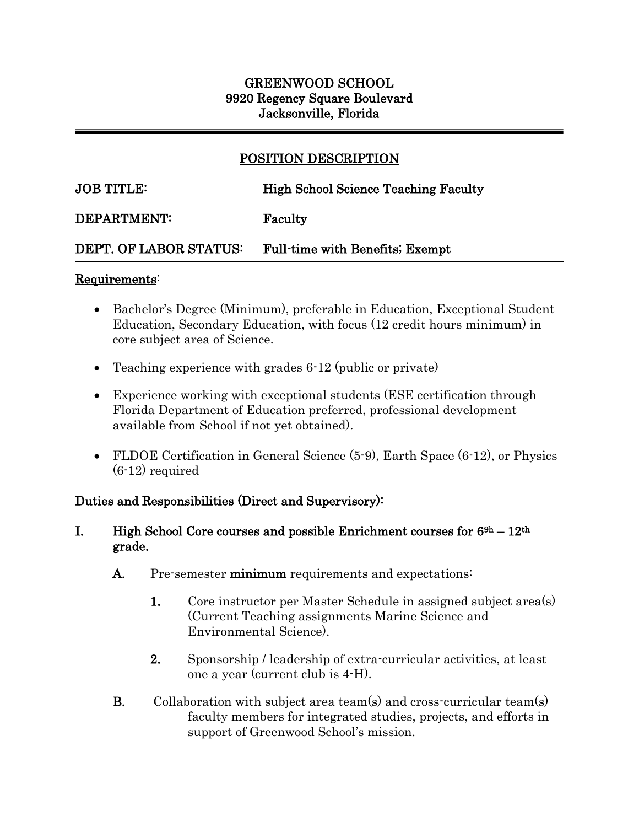# GREENWOOD SCHOOL 9920 Regency Square Boulevard Jacksonville, Florida

# POSITION DESCRIPTION

 $\overline{a}$ 

# JOB TITLE: High School Science Teaching Faculty

#### DEPARTMENT: Faculty

### DEPT. OF LABOR STATUS: Full-time with Benefits; Exempt

#### Requirements:

j

- Bachelor's Degree (Minimum), preferable in Education, Exceptional Student Education, Secondary Education, with focus (12 credit hours minimum) in core subject area of Science.
- Teaching experience with grades 6-12 (public or private)
- Experience working with exceptional students (ESE certification through Florida Department of Education preferred, professional development available from School if not yet obtained).
- FLDOE Certification in General Science (5-9), Earth Space (6-12), or Physics (6-12) required

### Duties and Responsibilities (Direct and Supervisory):

#### I. High School Core courses and possible Enrichment courses for  $6^{9h} - 12^{th}$ grade.

- A. Pre-semester minimum requirements and expectations:
	- 1. Core instructor per Master Schedule in assigned subject area(s) (Current Teaching assignments Marine Science and Environmental Science).
	- 2. Sponsorship / leadership of extra-curricular activities, at least one a year (current club is 4-H).
- B. Collaboration with subject area team(s) and cross-curricular team(s) faculty members for integrated studies, projects, and efforts in support of Greenwood School's mission.